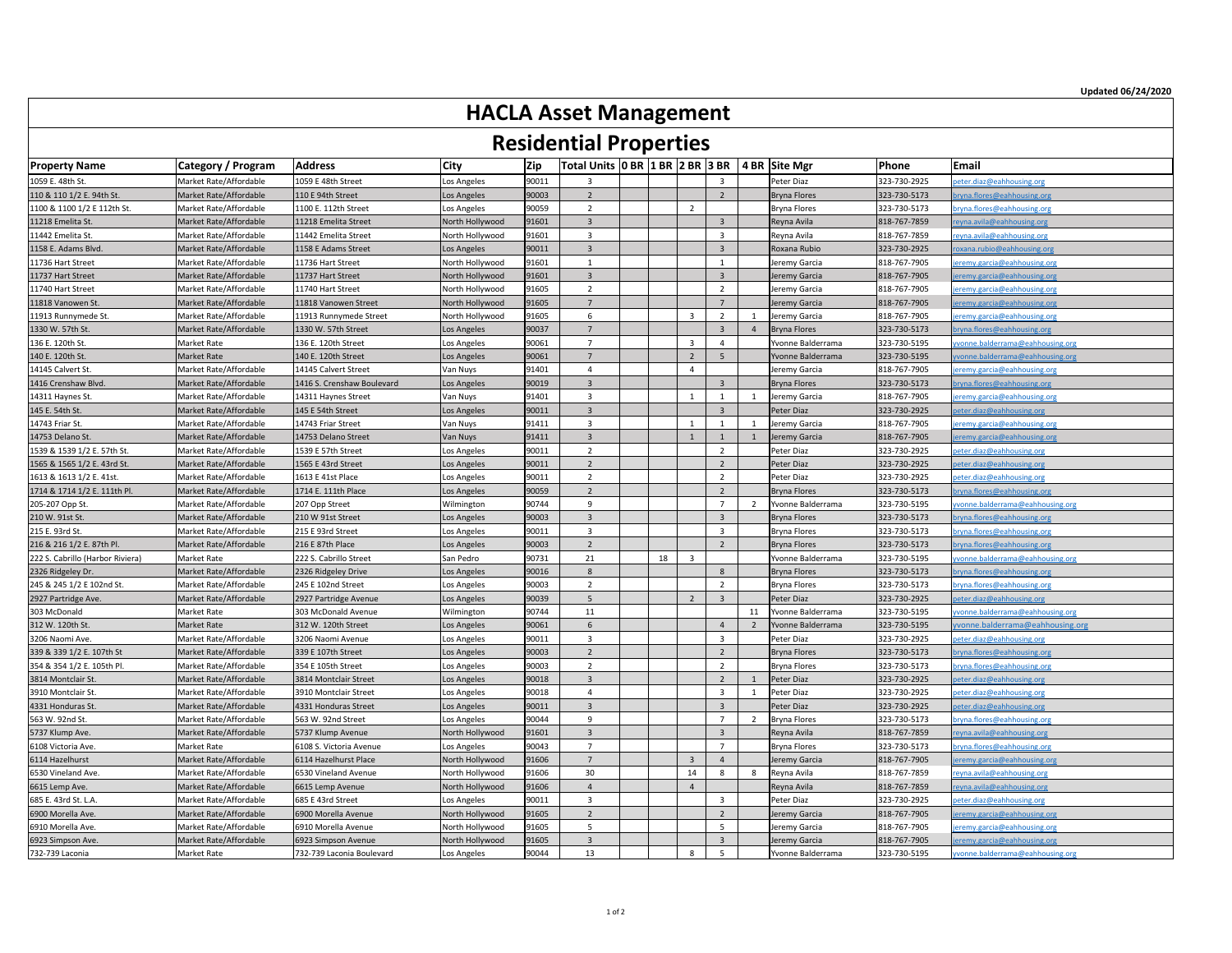| <b>ILCONCLINAL LIPPELUCS</b>     |                           |                            |                 |       |                                                           |  |    |                |                |    |                     |              |                                     |
|----------------------------------|---------------------------|----------------------------|-----------------|-------|-----------------------------------------------------------|--|----|----------------|----------------|----|---------------------|--------------|-------------------------------------|
| <b>Property Name</b>             | <b>Category / Program</b> | <b>Address</b>             | <b>City</b>     | Zip   | Total Units   0 BR   1 BR   2 BR   3 BR   4 BR   Site Mgr |  |    |                |                |    |                     | Phone        | Email                               |
| 1059 E. 48th St.                 | Market Rate/Affordable    | 1059 E 48th Street         | Los Angeles     | 90011 |                                                           |  |    |                |                |    | Peter Diaz          | 323-730-2925 | peter.diaz@eahhousing.org           |
| 110 & 110 1/2 E. 94th St.        | Market Rate/Affordable    | 110 E 94th Street          | Los Angeles     | 90003 |                                                           |  |    |                |                |    | Bryna Flores        | 323-730-5173 | bryna.flores@eahhousing.org         |
| 1100 & 1100 1/2 E 112th St.      | Market Rate/Affordable    | 1100 E. 112th Street       | Los Angeles     | 90059 |                                                           |  |    | $\overline{2}$ |                |    | Bryna Flores        | 323-730-5173 | bryna.flores@eahhousing.org         |
| 11218 Emelita St.                | Market Rate/Affordable    | 11218 Emelita Street       | North Hollywood | 91601 | $\mathbf{3}$                                              |  |    |                | $\overline{3}$ |    | Reyna Avila         | 818-767-7859 | reyna.avila@eahhousing.org          |
| 11442 Emelita St.                | Market Rate/Affordable    | 11442 Emelita Street       | North Hollywood | 91601 |                                                           |  |    |                |                |    | Reyna Avila         | 818-767-7859 | reyna.avila@eahhousing.org          |
| 1158 E. Adams Blvd.              | Market Rate/Affordable    | 1158 E Adams Street        | Los Angeles     | 90011 |                                                           |  |    |                |                |    | Roxana Rubio        | 323-730-2925 | roxana.rubio@eahhousing.org         |
| 11736 Hart Street                | Market Rate/Affordable    | 11736 Hart Street          | North Hollywood | 91601 |                                                           |  |    |                |                |    | Jeremy Garcia       | 818-767-7905 | jeremy.garcia@eahhousing.org        |
| 11737 Hart Street                | Market Rate/Affordable    | 11737 Hart Street          | North Hollywood | 91601 |                                                           |  |    |                |                |    | Jeremy Garcia       | 818-767-7905 | jeremy.garcia@eahhousing.org        |
| 11740 Hart Street                | Market Rate/Affordable    | 11740 Hart Street          | North Hollywood | 91605 |                                                           |  |    |                |                |    | Jeremy Garcia       | 818-767-7905 | jeremy.garcia@eahhousing.org        |
| 11818 Vanowen St.                | Market Rate/Affordable    | 11818 Vanowen Street       | North Hollywood | 91605 |                                                           |  |    |                |                |    | Jeremy Garcia       | 818-767-7905 | jeremy.garcia@eahhousing.org        |
| 11913 Runnymede St.              | Market Rate/Affordable    | 11913 Runnymede Street     | North Hollywood | 91605 |                                                           |  |    |                |                |    | Jeremy Garcia       | 818-767-7905 | jeremy.garcia@eahhousing.org        |
| 1330 W. 57th St.                 | Market Rate/Affordable    | 1330 W. 57th Street        | Los Angeles     | 90037 |                                                           |  |    |                |                |    | Bryna Flores        | 323-730-5173 | bryna.flores@eahhousing.org         |
| 136 E. 120th St.                 | Market Rate               | 136 E. 120th Street        | Los Angeles     | 90061 |                                                           |  |    |                |                |    | Yvonne Balderrama   | 323-730-5195 | yvonne.balderrama@eahhousing.org    |
| 140 E. 120th St.                 | <b>Market Rate</b>        | 140 E. 120th Street        | Los Angeles     | 90061 | $\overline{\phantom{a}}$                                  |  |    | $\overline{2}$ |                |    | Yvonne Balderrama   | 323-730-5195 | yvonne.balderrama@eahhousing.org    |
| 14145 Calvert St.                | Market Rate/Affordable    | 14145 Calvert Street       | Van Nuys        | 91401 |                                                           |  |    |                |                |    | Jeremy Garcia       | 818-767-7905 | jeremy.garcia@eahhousing.org        |
| 1416 Crenshaw Blvd.              | Market Rate/Affordable    | 1416 S. Crenshaw Boulevard | Los Angeles     | 90019 | $\mathbf{3}$                                              |  |    |                |                |    | Bryna Flores        | 323-730-5173 | bryna.flores@eahhousing.org         |
| 14311 Haynes St.                 | Market Rate/Affordable    | 14311 Haynes Street        | Van Nuys        | 91401 |                                                           |  |    |                |                |    | Jeremy Garcia       | 818-767-7905 | <u>ieremy.garcia@eahhousing.org</u> |
| 145 E. 54th St.                  | Market Rate/Affordable    | 145 E 54th Street          | Los Angeles     | 90011 | $\overline{3}$                                            |  |    |                |                |    | Peter Diaz          | 323-730-2925 | peter.diaz@eahhousing.org           |
| 14743 Friar St.                  | Market Rate/Affordable    | 14743 Friar Street         | Van Nuys        | 91411 |                                                           |  |    |                |                |    | Jeremy Garcia       | 818-767-7905 | jeremy.garcia@eahhousing.org        |
| 14753 Delano St.                 | Market Rate/Affordable    | 14753 Delano Street        | Van Nuys        | 91411 | $\overline{3}$                                            |  |    |                |                |    | Jeremy Garcia       | 818-767-7905 | <u>eremy.garcia@eahhousing.org</u>  |
| 1539 & 1539 1/2 E. 57th St.      | Market Rate/Affordable    | 1539 E 57th Street         | Los Angeles     | 90011 |                                                           |  |    |                |                |    | Peter Diaz          | 323-730-2925 | peter.diaz@eahhousing.org           |
| 1565 & 1565 1/2 E. 43rd St.      | Market Rate/Affordable    | 1565 E 43rd Street         | Los Angeles     | 90011 | $\overline{2}$                                            |  |    |                |                |    | Peter Diaz          | 323-730-2925 | oeter.diaz@eahhousing.org           |
| 1613 & 1613 1/2 E. 41st.         | Market Rate/Affordable    | 1613 E 41st Place          | Los Angeles     | 90011 |                                                           |  |    |                |                |    | Peter Diaz          | 323-730-2925 | peter.diaz@eahhousing.org           |
| 1714 & 1714 1/2 E. 111th Pl.     | Market Rate/Affordable    | 1714 E. 111th Place        | Los Angeles     | 90059 |                                                           |  |    |                | $\overline{2}$ |    | Bryna Flores        | 323-730-5173 | bryna.flores@eahhousing.org         |
| 205-207 Opp St.                  | Market Rate/Affordable    | 207 Opp Street             | Wilmington      | 90744 |                                                           |  |    |                |                |    | Yvonne Balderrama   | 323-730-5195 | yvonne.balderrama@eahhousing.org    |
| 210 W. 91st St.                  | Market Rate/Affordable    | 210 W 91st Street          | Los Angeles     | 90003 |                                                           |  |    |                |                |    | Bryna Flores        | 323-730-5173 | bryna.flores@eahhousing.org         |
| 215 E. 93rd St.                  | Market Rate/Affordable    | 215 E 93rd Street          | Los Angeles     | 90011 |                                                           |  |    |                |                |    | <b>Bryna Flores</b> | 323-730-5173 | bryna.flores@eahhousing.org         |
| 216 & 216 1/2 E. 87th Pl.        | Market Rate/Affordable    | 216 E 87th Place           | Los Angeles     | 90003 |                                                           |  |    |                |                |    | Bryna Flores        | 323-730-5173 | bryna.flores@eahhousing.org         |
| 222 S. Cabrillo (Harbor Riviera) | Market Rate               | 222 S. Cabrillo Street     | San Pedro       | 90731 | 21                                                        |  | 18 | $\overline{3}$ |                |    | Yvonne Balderrama   | 323-730-5195 | yvonne.balderrama@eahhousing.org    |
| 2326 Ridgeley Dr.                | Market Rate/Affordable    | 2326 Ridgeley Drive        | Los Angeles     | 90016 |                                                           |  |    |                |                |    | Bryna Flores        | 323-730-5173 | bryna.flores@eahhousing.org         |
| 245 & 245 1/2 E 102nd St.        | Market Rate/Affordable    | 245 E 102nd Street         | Los Angeles     | 90003 |                                                           |  |    |                |                |    | Bryna Flores        | 323-730-5173 | bryna.flores@eahhousing.org         |
| 2927 Partridge Ave.              | Market Rate/Affordable    | 2927 Partridge Avenue      | Los Angeles     | 90039 |                                                           |  |    |                |                |    | Peter Diaz          | 323-730-2925 | peter.diaz@eahhousing.org           |
| 303 McDonald                     | <b>Market Rate</b>        | 303 McDonald Avenue        | Wilmington      | 90744 | 11                                                        |  |    |                |                | 11 | Yvonne Balderrama   | 323-730-5195 | yvonne.balderrama@eahhousing.org    |
| 312 W. 120th St.                 | <b>Market Rate</b>        | 312 W. 120th Street        | Los Angeles     | 90061 |                                                           |  |    |                |                |    | Yvonne Balderrama   | 323-730-5195 | yvonne.balderrama@eahhousing.org    |
| 3206 Naomi Ave.                  | Market Rate/Affordable    | 3206 Naomi Avenue          | Los Angeles     | 90011 | 3                                                         |  |    |                |                |    | Peter Diaz          | 323-730-2925 | peter.diaz@eahhousing.org           |
| 339 & 339 1/2 E. 107th St        | Market Rate/Affordable    | 339 E 107th Street         | Los Angeles     | 90003 |                                                           |  |    |                |                |    | Bryna Flores        | 323-730-5173 | bryna.flores@eahhousing.org         |
| 354 & 354 1/2 E. 105th Pl.       | Market Rate/Affordable    | 354 E 105th Street         | Los Angeles     | 90003 | $\mathcal{D}$                                             |  |    |                |                |    | <b>Bryna Flores</b> | 323-730-5173 | bryna.flores@eahhousing.org         |
| 3814 Montclair St                | Market Rate/Affordable    | 3814 Montclair Street      | Los Angeles     | 90018 |                                                           |  |    |                |                |    | Peter Diaz          | 323-730-2925 | peter.diaz@eahhousing.org           |
| 3910 Montclair St                | Market Rate/Affordable    | 3910 Montclair Street      | Los Angeles     | 90018 |                                                           |  |    |                |                |    | Peter Diaz          | 323-730-2925 | peter.diaz@eahhousing.org           |
| 4331 Honduras St                 | Market Rate/Affordable    | 4331 Honduras Street       | Los Angeles     | 90011 | $\mathbf{3}$                                              |  |    |                |                |    | Peter Diaz          | 323-730-2925 | peter.diaz@eahhousing.org           |
| 563 W. 92nd St.                  | Market Rate/Affordable    | 563 W. 92nd Street         | Los Angeles     | 90044 | $\Omega$                                                  |  |    |                |                |    | Bryna Flores        | 323-730-5173 | bryna.flores@eahhousing.org         |
| 5737 Klump Ave.                  | Market Rate/Affordable    | 5737 Klump Avenue          | North Hollywood | 91601 | $\overline{3}$                                            |  |    |                |                |    | Reyna Avila         | 818-767-7859 | reyna.avila@eahhousing.org          |
| 6108 Victoria Ave.               | <b>Market Rate</b>        | 6108 S. Victoria Avenue    | Los Angeles     | 90043 |                                                           |  |    |                |                |    | Bryna Flores        | 323-730-5173 | bryna.flores@eahhousing.org         |
| 6114 Hazelhurst                  | Market Rate/Affordable    | 6114 Hazelhurst Place      | North Hollywood | 91606 |                                                           |  |    | $\overline{3}$ |                |    | Jeremy Garcia       | 818-767-7905 | jeremy.garcia@eahhousing.org        |
| 6530 Vineland Ave.               | Market Rate/Affordable    | 6530 Vineland Avenue       | North Hollywood | 91606 | 30 <sup>°</sup>                                           |  |    | 14             |                |    | Reyna Avila         | 818-767-7859 | reyna.avila@eahhousing.org          |
| 6615 Lemp Ave.                   | Market Rate/Affordable    | 6615 Lemp Avenue           | North Hollywood | 91606 |                                                           |  |    |                |                |    | Reyna Avila         | 818-767-7859 | reyna.avila@eahhousing.org          |
| 685 E. 43rd St. L.A.             | Market Rate/Affordable    | 685 E 43rd Street          | Los Angeles     | 90011 |                                                           |  |    |                |                |    | Peter Diaz          | 323-730-2925 | peter.diaz@eahhousing.org           |
| 6900 Morella Ave.                | Market Rate/Affordable    | 6900 Morella Avenue        | North Hollywood | 91605 |                                                           |  |    |                |                |    | Jeremy Garcia       | 818-767-7905 | jeremy.garcia@eahhousing.org        |
| 6910 Morella Ave.                | Market Rate/Affordable    | 6910 Morella Avenue        | North Hollywood | 91605 |                                                           |  |    |                |                |    | Jeremy Garcia       | 818-767-7905 | jeremy.garcia@eahhousing.org        |
| 6923 Simpson Ave.                | Market Rate/Affordable    | 6923 Simpson Avenue        | North Hollywood | 91605 |                                                           |  |    |                |                |    | Jeremy Garcia       | 818-767-7905 | jeremy.garcia@eahhousing.org        |
| 732-739 Laconia                  | Market Rate               | 732-739 Laconia Boulevard  | Los Angeles     | 90044 | 13                                                        |  |    |                |                |    | Yvonne Balderrama   | 323-730-5195 | yvonne.balderrama@eahhousing.org    |

## **HACLA Asset Management**

## **Residential Properties**